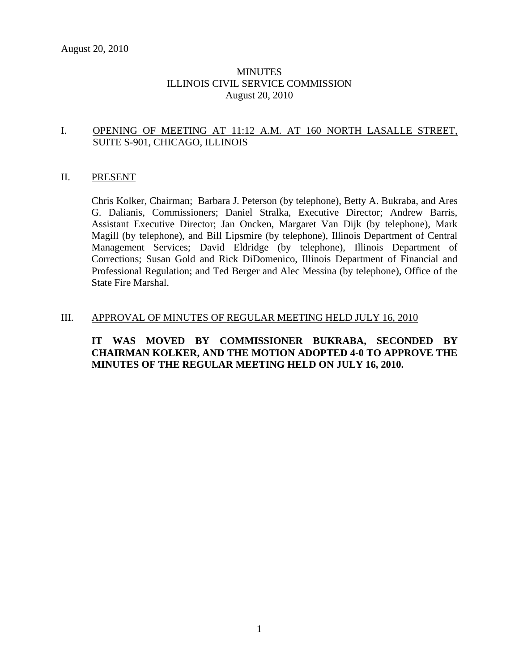# **MINUTES** ILLINOIS CIVIL SERVICE COMMISSION August 20, 2010

# I. OPENING OF MEETING AT 11:12 A.M. AT 160 NORTH LASALLE STREET, SUITE S-901, CHICAGO, ILLINOIS

#### II. PRESENT

Chris Kolker, Chairman; Barbara J. Peterson (by telephone), Betty A. Bukraba, and Ares G. Dalianis, Commissioners; Daniel Stralka, Executive Director; Andrew Barris, Assistant Executive Director; Jan Oncken, Margaret Van Dijk (by telephone), Mark Magill (by telephone), and Bill Lipsmire (by telephone), Illinois Department of Central Management Services; David Eldridge (by telephone), Illinois Department of Corrections; Susan Gold and Rick DiDomenico, Illinois Department of Financial and Professional Regulation; and Ted Berger and Alec Messina (by telephone), Office of the State Fire Marshal.

#### III. APPROVAL OF MINUTES OF REGULAR MEETING HELD JULY 16, 2010

# **IT WAS MOVED BY COMMISSIONER BUKRABA, SECONDED BY CHAIRMAN KOLKER, AND THE MOTION ADOPTED 4-0 TO APPROVE THE MINUTES OF THE REGULAR MEETING HELD ON JULY 16, 2010.**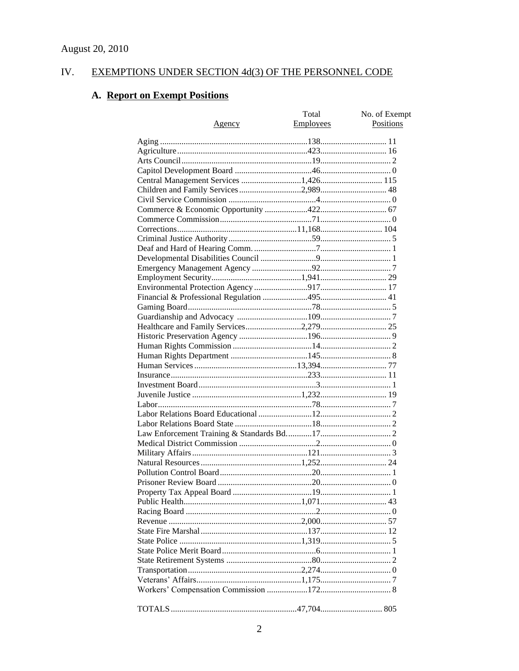#### EXEMPTIONS UNDER SECTION 4d(3) OF THE PERSONNEL CODE IV.

# A. Report on Exempt Positions

|                                       | Total     | No. of Exempt |
|---------------------------------------|-----------|---------------|
| <u>Agency</u>                         | Employees | Positions     |
|                                       |           |               |
|                                       |           |               |
|                                       |           |               |
|                                       |           |               |
|                                       |           |               |
| Central Management Services 1,426 115 |           |               |
|                                       |           |               |
|                                       |           |               |
|                                       |           |               |
|                                       |           |               |
|                                       |           |               |
|                                       |           |               |
|                                       |           |               |
|                                       |           |               |
|                                       |           |               |
|                                       |           |               |
|                                       |           |               |
|                                       |           |               |
|                                       |           |               |
|                                       |           |               |
|                                       |           |               |
|                                       |           |               |
|                                       |           |               |
|                                       |           |               |
|                                       |           |               |
|                                       |           |               |
|                                       |           |               |
|                                       |           |               |
|                                       |           |               |
|                                       |           |               |
|                                       |           |               |
|                                       |           |               |
|                                       |           |               |
|                                       |           |               |
|                                       |           |               |
|                                       |           |               |
|                                       |           |               |
|                                       |           |               |
|                                       |           |               |
|                                       |           |               |
|                                       |           |               |
|                                       |           |               |
|                                       |           |               |
|                                       |           |               |
|                                       |           |               |
|                                       |           |               |
|                                       |           |               |
|                                       |           |               |
|                                       |           |               |
|                                       |           |               |
|                                       |           |               |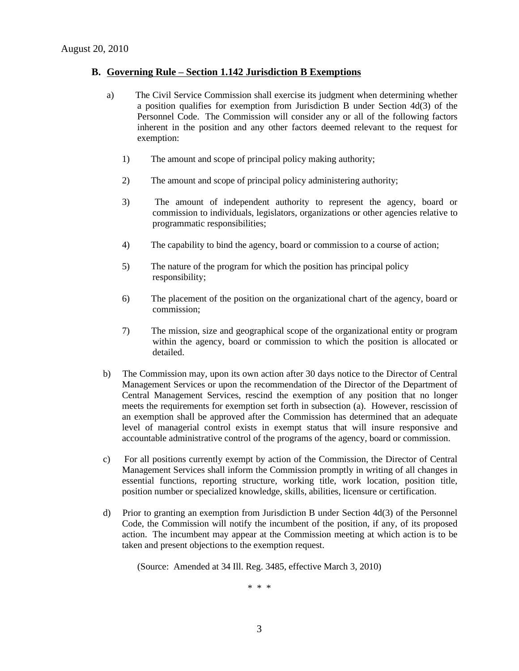#### **B. Governing Rule – Section 1.142 Jurisdiction B Exemptions**

- a) The Civil Service Commission shall exercise its judgment when determining whether a position qualifies for exemption from Jurisdiction B under Section 4d(3) of the Personnel Code. The Commission will consider any or all of the following factors inherent in the position and any other factors deemed relevant to the request for exemption:
	- 1) The amount and scope of principal policy making authority;
	- 2) The amount and scope of principal policy administering authority;
	- 3) The amount of independent authority to represent the agency, board or commission to individuals, legislators, organizations or other agencies relative to programmatic responsibilities;
	- 4) The capability to bind the agency, board or commission to a course of action;
	- 5) The nature of the program for which the position has principal policy responsibility;
	- 6) The placement of the position on the organizational chart of the agency, board or commission;
	- 7) The mission, size and geographical scope of the organizational entity or program within the agency, board or commission to which the position is allocated or detailed.
- b) The Commission may, upon its own action after 30 days notice to the Director of Central Management Services or upon the recommendation of the Director of the Department of Central Management Services, rescind the exemption of any position that no longer meets the requirements for exemption set forth in subsection (a). However, rescission of an exemption shall be approved after the Commission has determined that an adequate level of managerial control exists in exempt status that will insure responsive and accountable administrative control of the programs of the agency, board or commission.
- c) For all positions currently exempt by action of the Commission, the Director of Central Management Services shall inform the Commission promptly in writing of all changes in essential functions, reporting structure, working title, work location, position title, position number or specialized knowledge, skills, abilities, licensure or certification.
- d) Prior to granting an exemption from Jurisdiction B under Section 4d(3) of the Personnel Code, the Commission will notify the incumbent of the position, if any, of its proposed action. The incumbent may appear at the Commission meeting at which action is to be taken and present objections to the exemption request.

(Source: Amended at 34 Ill. Reg. 3485, effective March 3, 2010)

\* \* \*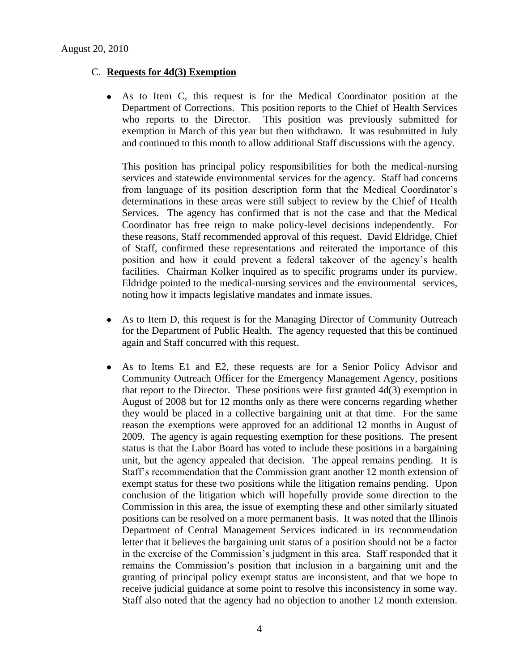### C. **Requests for 4d(3) Exemption**

As to Item C, this request is for the Medical Coordinator position at the  $\bullet$ Department of Corrections. This position reports to the Chief of Health Services who reports to the Director. This position was previously submitted for exemption in March of this year but then withdrawn. It was resubmitted in July and continued to this month to allow additional Staff discussions with the agency.

This position has principal policy responsibilities for both the medical-nursing services and statewide environmental services for the agency. Staff had concerns from language of its position description form that the Medical Coordinator's determinations in these areas were still subject to review by the Chief of Health Services. The agency has confirmed that is not the case and that the Medical Coordinator has free reign to make policy-level decisions independently. For these reasons, Staff recommended approval of this request. David Eldridge, Chief of Staff, confirmed these representations and reiterated the importance of this position and how it could prevent a federal takeover of the agency's health facilities. Chairman Kolker inquired as to specific programs under its purview. Eldridge pointed to the medical-nursing services and the environmental services, noting how it impacts legislative mandates and inmate issues.

- As to Item D, this request is for the Managing Director of Community Outreach  $\bullet$ for the Department of Public Health. The agency requested that this be continued again and Staff concurred with this request.
- As to Items E1 and E2, these requests are for a Senior Policy Advisor and  $\bullet$ Community Outreach Officer for the Emergency Management Agency, positions that report to the Director. These positions were first granted 4d(3) exemption in August of 2008 but for 12 months only as there were concerns regarding whether they would be placed in a collective bargaining unit at that time. For the same reason the exemptions were approved for an additional 12 months in August of 2009. The agency is again requesting exemption for these positions. The present status is that the Labor Board has voted to include these positions in a bargaining unit, but the agency appealed that decision. The appeal remains pending. It is Staff's recommendation that the Commission grant another 12 month extension of exempt status for these two positions while the litigation remains pending. Upon conclusion of the litigation which will hopefully provide some direction to the Commission in this area, the issue of exempting these and other similarly situated positions can be resolved on a more permanent basis. It was noted that the Illinois Department of Central Management Services indicated in its recommendation letter that it believes the bargaining unit status of a position should not be a factor in the exercise of the Commission's judgment in this area. Staff responded that it remains the Commission's position that inclusion in a bargaining unit and the granting of principal policy exempt status are inconsistent, and that we hope to receive judicial guidance at some point to resolve this inconsistency in some way. Staff also noted that the agency had no objection to another 12 month extension.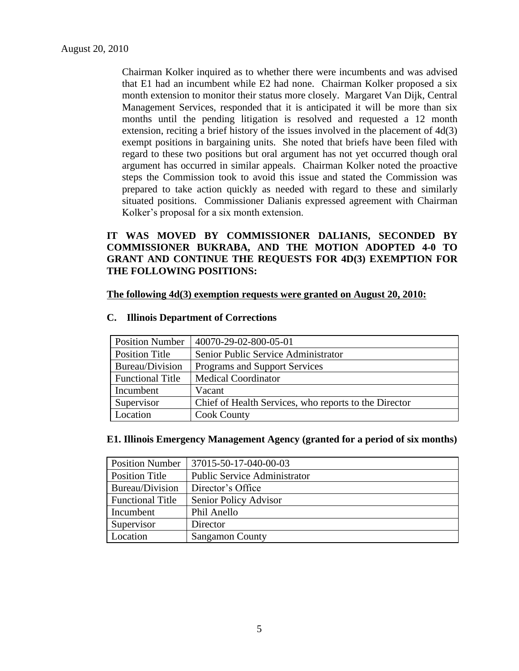Chairman Kolker inquired as to whether there were incumbents and was advised that E1 had an incumbent while E2 had none. Chairman Kolker proposed a six month extension to monitor their status more closely. Margaret Van Dijk, Central Management Services, responded that it is anticipated it will be more than six months until the pending litigation is resolved and requested a 12 month extension, reciting a brief history of the issues involved in the placement of 4d(3) exempt positions in bargaining units. She noted that briefs have been filed with regard to these two positions but oral argument has not yet occurred though oral argument has occurred in similar appeals. Chairman Kolker noted the proactive steps the Commission took to avoid this issue and stated the Commission was prepared to take action quickly as needed with regard to these and similarly situated positions. Commissioner Dalianis expressed agreement with Chairman Kolker's proposal for a six month extension.

# **IT WAS MOVED BY COMMISSIONER DALIANIS, SECONDED BY COMMISSIONER BUKRABA, AND THE MOTION ADOPTED 4-0 TO GRANT AND CONTINUE THE REQUESTS FOR 4D(3) EXEMPTION FOR THE FOLLOWING POSITIONS:**

**The following 4d(3) exemption requests were granted on August 20, 2010:**

| <b>Position Number</b>  | 40070-29-02-800-05-01                                 |
|-------------------------|-------------------------------------------------------|
| <b>Position Title</b>   | Senior Public Service Administrator                   |
| Bureau/Division         | Programs and Support Services                         |
| <b>Functional Title</b> | <b>Medical Coordinator</b>                            |
| Incumbent               | Vacant                                                |
| Supervisor              | Chief of Health Services, who reports to the Director |
| Location                | <b>Cook County</b>                                    |

#### **C. Illinois Department of Corrections**

#### **E1. Illinois Emergency Management Agency (granted for a period of six months)**

| <b>Position Number</b>  | 37015-50-17-040-00-03               |
|-------------------------|-------------------------------------|
| <b>Position Title</b>   | <b>Public Service Administrator</b> |
| Bureau/Division         | Director's Office                   |
| <b>Functional Title</b> | Senior Policy Advisor               |
| Incumbent               | Phil Anello                         |
| Supervisor              | Director                            |
| Location                | <b>Sangamon County</b>              |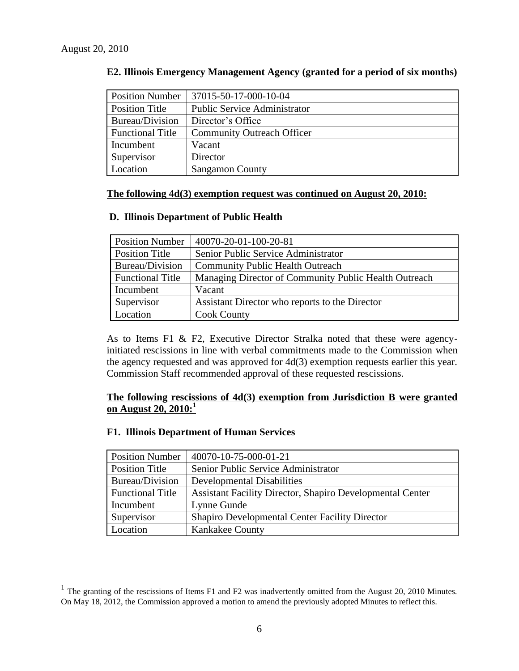$\overline{a}$ 

| <b>Position Number</b>  | 37015-50-17-000-10-04               |
|-------------------------|-------------------------------------|
| Position Title          | <b>Public Service Administrator</b> |
| Bureau/Division         | Director's Office                   |
| <b>Functional Title</b> | <b>Community Outreach Officer</b>   |
| Incumbent               | Vacant                              |
| Supervisor              | Director                            |
| Location                | <b>Sangamon County</b>              |

#### **E2. Illinois Emergency Management Agency (granted for a period of six months)**

#### **The following 4d(3) exemption request was continued on August 20, 2010:**

#### **D. Illinois Department of Public Health**

| <b>Position Number</b>  | 40070-20-01-100-20-81                                 |
|-------------------------|-------------------------------------------------------|
| Position Title          | Senior Public Service Administrator                   |
| Bureau/Division         | <b>Community Public Health Outreach</b>               |
| <b>Functional Title</b> | Managing Director of Community Public Health Outreach |
| Incumbent               | Vacant                                                |
| Supervisor              | Assistant Director who reports to the Director        |
| Location                | <b>Cook County</b>                                    |

As to Items F1 & F2, Executive Director Stralka noted that these were agencyinitiated rescissions in line with verbal commitments made to the Commission when the agency requested and was approved for 4d(3) exemption requests earlier this year. Commission Staff recommended approval of these requested rescissions.

# **The following rescissions of 4d(3) exemption from Jurisdiction B were granted on August 20, 2010:<sup>1</sup>**

#### **F1. Illinois Department of Human Services**

| <b>Position Number</b>  | 40070-10-75-000-01-21                                            |
|-------------------------|------------------------------------------------------------------|
| <b>Position Title</b>   | Senior Public Service Administrator                              |
| Bureau/Division         | <b>Developmental Disabilities</b>                                |
| <b>Functional Title</b> | <b>Assistant Facility Director, Shapiro Developmental Center</b> |
| Incumbent               | Lynne Gunde                                                      |
| Supervisor              | <b>Shapiro Developmental Center Facility Director</b>            |
| Location                | Kankakee County                                                  |

<sup>&</sup>lt;sup>1</sup> The granting of the rescissions of Items F1 and F2 was inadvertently omitted from the August 20, 2010 Minutes. On May 18, 2012, the Commission approved a motion to amend the previously adopted Minutes to reflect this.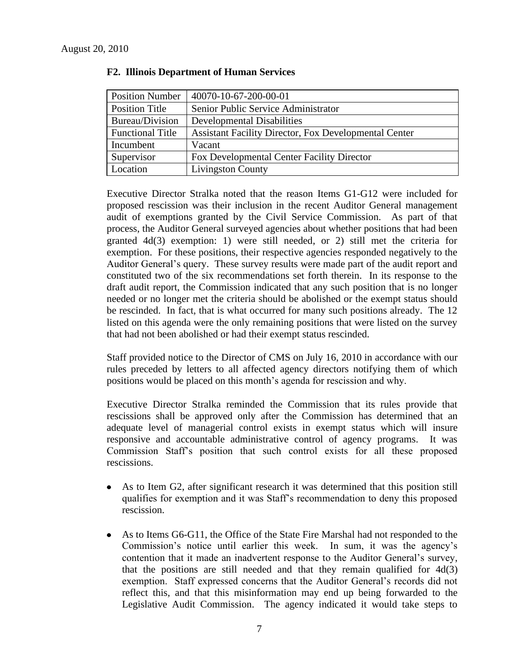| <b>Position Number</b>  | 40070-10-67-200-00-01                                        |
|-------------------------|--------------------------------------------------------------|
| Position Title          | Senior Public Service Administrator                          |
| Bureau/Division         | <b>Developmental Disabilities</b>                            |
| <b>Functional Title</b> | <b>Assistant Facility Director, Fox Developmental Center</b> |
| Incumbent               | Vacant                                                       |
| Supervisor              | <b>Fox Developmental Center Facility Director</b>            |
| Location                | <b>Livingston County</b>                                     |

#### **F2. Illinois Department of Human Services**

Executive Director Stralka noted that the reason Items G1-G12 were included for proposed rescission was their inclusion in the recent Auditor General management audit of exemptions granted by the Civil Service Commission. As part of that process, the Auditor General surveyed agencies about whether positions that had been granted 4d(3) exemption: 1) were still needed, or 2) still met the criteria for exemption. For these positions, their respective agencies responded negatively to the Auditor General's query. These survey results were made part of the audit report and constituted two of the six recommendations set forth therein. In its response to the draft audit report, the Commission indicated that any such position that is no longer needed or no longer met the criteria should be abolished or the exempt status should be rescinded. In fact, that is what occurred for many such positions already. The 12 listed on this agenda were the only remaining positions that were listed on the survey that had not been abolished or had their exempt status rescinded.

Staff provided notice to the Director of CMS on July 16, 2010 in accordance with our rules preceded by letters to all affected agency directors notifying them of which positions would be placed on this month's agenda for rescission and why.

Executive Director Stralka reminded the Commission that its rules provide that rescissions shall be approved only after the Commission has determined that an adequate level of managerial control exists in exempt status which will insure responsive and accountable administrative control of agency programs. It was Commission Staff's position that such control exists for all these proposed rescissions.

- As to Item G2, after significant research it was determined that this position still qualifies for exemption and it was Staff's recommendation to deny this proposed rescission.
- As to Items G6-G11, the Office of the State Fire Marshal had not responded to the Commission's notice until earlier this week. In sum, it was the agency's contention that it made an inadvertent response to the Auditor General's survey, that the positions are still needed and that they remain qualified for  $4d(3)$ exemption. Staff expressed concerns that the Auditor General's records did not reflect this, and that this misinformation may end up being forwarded to the Legislative Audit Commission. The agency indicated it would take steps to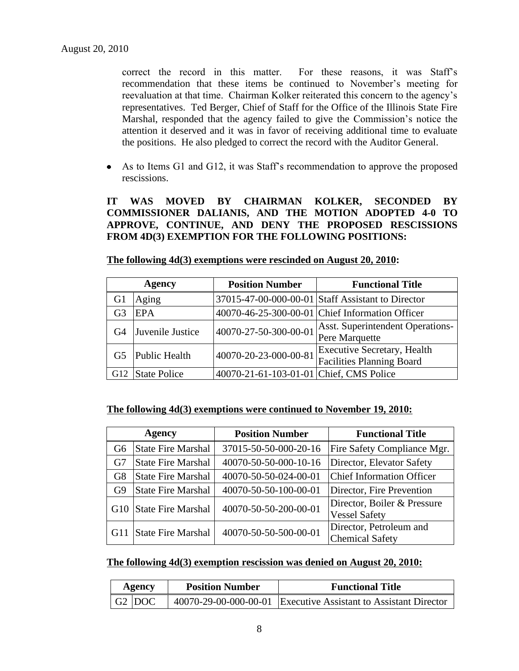correct the record in this matter. For these reasons, it was Staff's recommendation that these items be continued to November's meeting for reevaluation at that time. Chairman Kolker reiterated this concern to the agency's representatives. Ted Berger, Chief of Staff for the Office of the Illinois State Fire Marshal, responded that the agency failed to give the Commission's notice the attention it deserved and it was in favor of receiving additional time to evaluate the positions. He also pledged to correct the record with the Auditor General.

As to Items G1 and G12, it was Staff's recommendation to approve the proposed rescissions.

**IT WAS MOVED BY CHAIRMAN KOLKER, SECONDED BY COMMISSIONER DALIANIS, AND THE MOTION ADOPTED 4-0 TO APPROVE, CONTINUE, AND DENY THE PROPOSED RESCISSIONS FROM 4D(3) EXEMPTION FOR THE FOLLOWING POSITIONS:**

|                 | <b>Agency</b>       | <b>Position Number</b>                  | <b>Functional Title</b>                                                |
|-----------------|---------------------|-----------------------------------------|------------------------------------------------------------------------|
| G1              | Aging               |                                         | 37015-47-00-000-00-01 Staff Assistant to Director                      |
| G3              | <b>EPA</b>          |                                         | 40070-46-25-300-00-01 Chief Information Officer                        |
| G4              | Juvenile Justice    | 40070-27-50-300-00-01                   | <b>Asst.</b> Superintendent Operations-<br>Pere Marquette              |
| G5              | Public Health       | 40070-20-23-000-00-81                   | <b>Executive Secretary, Health</b><br><b>Facilities Planning Board</b> |
| G <sub>12</sub> | <b>State Police</b> | 40070-21-61-103-01-01 Chief, CMS Police |                                                                        |

**The following 4d(3) exemptions were rescinded on August 20, 2010:**

**The following 4d(3) exemptions were continued to November 19, 2010:**

| Agency         |                           | <b>Position Number</b> | <b>Functional Title</b>                             |  |
|----------------|---------------------------|------------------------|-----------------------------------------------------|--|
| G6             | <b>State Fire Marshal</b> | 37015-50-50-000-20-16  | Fire Safety Compliance Mgr.                         |  |
| G7             | <b>State Fire Marshal</b> | 40070-50-50-000-10-16  | Director, Elevator Safety                           |  |
| G8             | <b>State Fire Marshal</b> | 40070-50-50-024-00-01  | <b>Chief Information Officer</b>                    |  |
| G <sub>9</sub> | <b>State Fire Marshal</b> | 40070-50-50-100-00-01  | Director, Fire Prevention                           |  |
| G10            | <b>State Fire Marshal</b> | 40070-50-50-200-00-01  | Director, Boiler & Pressure<br><b>Vessel Safety</b> |  |
| G11            | <b>State Fire Marshal</b> | 40070-50-50-500-00-01  | Director, Petroleum and<br><b>Chemical Safety</b>   |  |

| The following 4d(3) exemption rescission was denied on August 20, 2010: |  |  |  |
|-------------------------------------------------------------------------|--|--|--|
|                                                                         |  |  |  |

| Agency |                             | <b>Position Number</b> | <b>Functional Title</b>                                         |
|--------|-----------------------------|------------------------|-----------------------------------------------------------------|
|        | $\mid$ G2 $\mid$ DOC $\mid$ |                        | 40070-29-00-000-00-01 Executive Assistant to Assistant Director |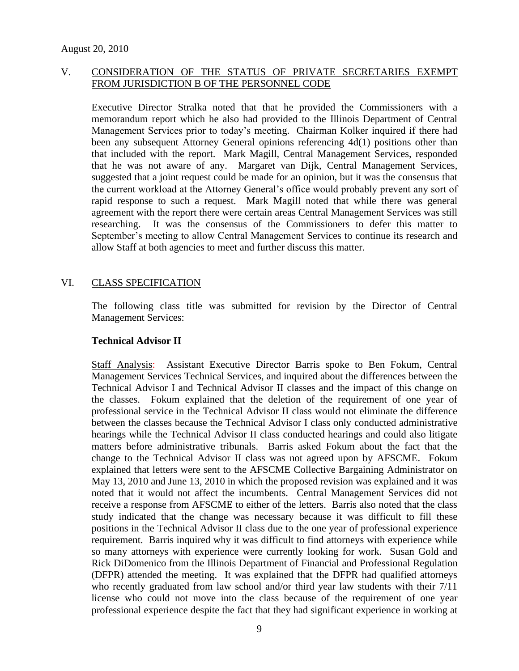# V. CONSIDERATION OF THE STATUS OF PRIVATE SECRETARIES EXEMPT FROM JURISDICTION B OF THE PERSONNEL CODE

Executive Director Stralka noted that that he provided the Commissioners with a memorandum report which he also had provided to the Illinois Department of Central Management Services prior to today's meeting. Chairman Kolker inquired if there had been any subsequent Attorney General opinions referencing 4d(1) positions other than that included with the report. Mark Magill, Central Management Services, responded that he was not aware of any. Margaret van Dijk, Central Management Services, suggested that a joint request could be made for an opinion, but it was the consensus that the current workload at the Attorney General's office would probably prevent any sort of rapid response to such a request. Mark Magill noted that while there was general agreement with the report there were certain areas Central Management Services was still researching. It was the consensus of the Commissioners to defer this matter to September's meeting to allow Central Management Services to continue its research and allow Staff at both agencies to meet and further discuss this matter.

# VI. CLASS SPECIFICATION

The following class title was submitted for revision by the Director of Central Management Services:

#### **Technical Advisor II**

Staff Analysis: Assistant Executive Director Barris spoke to Ben Fokum, Central Management Services Technical Services, and inquired about the differences between the Technical Advisor I and Technical Advisor II classes and the impact of this change on the classes. Fokum explained that the deletion of the requirement of one year of professional service in the Technical Advisor II class would not eliminate the difference between the classes because the Technical Advisor I class only conducted administrative hearings while the Technical Advisor II class conducted hearings and could also litigate matters before administrative tribunals. Barris asked Fokum about the fact that the change to the Technical Advisor II class was not agreed upon by AFSCME. Fokum explained that letters were sent to the AFSCME Collective Bargaining Administrator on May 13, 2010 and June 13, 2010 in which the proposed revision was explained and it was noted that it would not affect the incumbents. Central Management Services did not receive a response from AFSCME to either of the letters. Barris also noted that the class study indicated that the change was necessary because it was difficult to fill these positions in the Technical Advisor II class due to the one year of professional experience requirement. Barris inquired why it was difficult to find attorneys with experience while so many attorneys with experience were currently looking for work. Susan Gold and Rick DiDomenico from the Illinois Department of Financial and Professional Regulation (DFPR) attended the meeting. It was explained that the DFPR had qualified attorneys who recently graduated from law school and/or third year law students with their 7/11 license who could not move into the class because of the requirement of one year professional experience despite the fact that they had significant experience in working at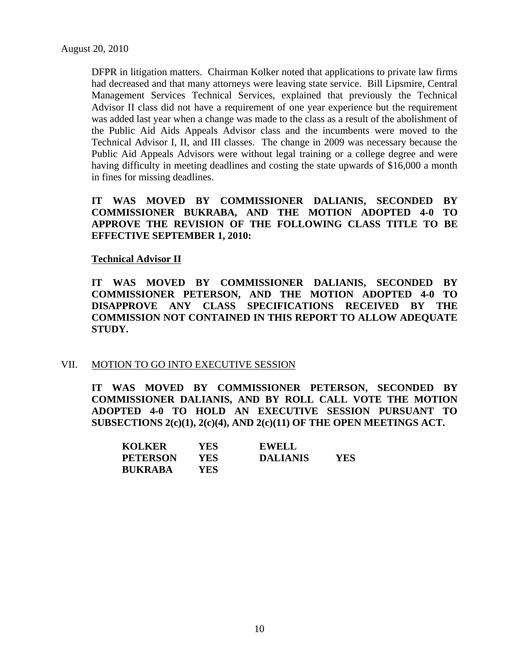DFPR in litigation matters. Chairman Kolker noted that applications to private law firms had decreased and that many attorneys were leaving state service. Bill Lipsmire, Central Management Services Technical Services, explained that previously the Technical Advisor II class did not have a requirement of one year experience but the requirement was added last year when a change was made to the class as a result of the abolishment of the Public Aid Aids Appeals Advisor class and the incumbents were moved to the Technical Advisor I, II, and III classes. The change in 2009 was necessary because the Public Aid Appeals Advisors were without legal training or a college degree and were having difficulty in meeting deadlines and costing the state upwards of \$16,000 a month in fines for missing deadlines.

**IT WAS MOVED BY COMMISSIONER DALIANIS, SECONDED BY COMMISSIONER BUKRABA, AND THE MOTION ADOPTED 4-0 TO APPROVE THE REVISION OF THE FOLLOWING CLASS TITLE TO BE EFFECTIVE SEPTEMBER 1, 2010:**

#### **Technical Advisor II**

**IT WAS MOVED BY COMMISSIONER DALIANIS, SECONDED BY COMMISSIONER PETERSON, AND THE MOTION ADOPTED 4-0 TO DISAPPROVE ANY CLASS SPECIFICATIONS RECEIVED BY THE COMMISSION NOT CONTAINED IN THIS REPORT TO ALLOW ADEQUATE STUDY.** 

#### VII. MOTION TO GO INTO EXECUTIVE SESSION

**IT WAS MOVED BY COMMISSIONER PETERSON, SECONDED BY COMMISSIONER DALIANIS, AND BY ROLL CALL VOTE THE MOTION ADOPTED 4-0 TO HOLD AN EXECUTIVE SESSION PURSUANT TO SUBSECTIONS 2(c)(1), 2(c)(4), AND 2(c)(11) OF THE OPEN MEETINGS ACT.** 

| <b>KOLKER</b>  | YES  | <b>EWELL</b>    |      |
|----------------|------|-----------------|------|
| PETERSON       | YES. | <b>DALIANIS</b> | YES. |
| <b>BUKRABA</b> | YES. |                 |      |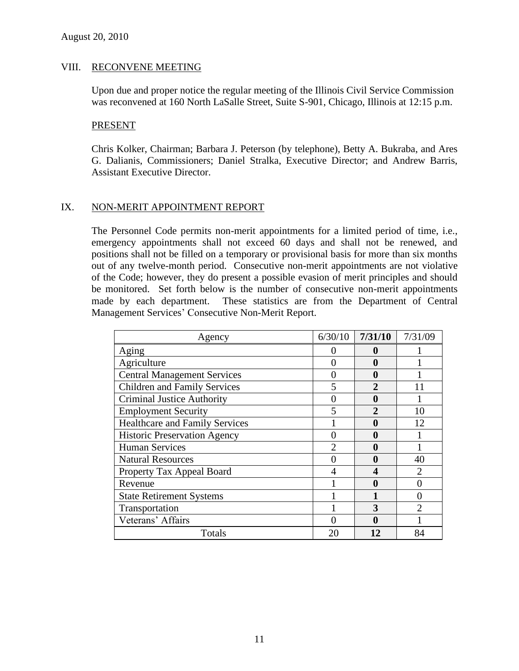#### VIII. RECONVENE MEETING

Upon due and proper notice the regular meeting of the Illinois Civil Service Commission was reconvened at 160 North LaSalle Street, Suite S-901, Chicago, Illinois at 12:15 p.m.

#### PRESENT

Chris Kolker, Chairman; Barbara J. Peterson (by telephone), Betty A. Bukraba, and Ares G. Dalianis, Commissioners; Daniel Stralka, Executive Director; and Andrew Barris, Assistant Executive Director.

#### IX. NON-MERIT APPOINTMENT REPORT

The Personnel Code permits non-merit appointments for a limited period of time, i.e., emergency appointments shall not exceed 60 days and shall not be renewed, and positions shall not be filled on a temporary or provisional basis for more than six months out of any twelve-month period. Consecutive non-merit appointments are not violative of the Code; however, they do present a possible evasion of merit principles and should be monitored. Set forth below is the number of consecutive non-merit appointments made by each department. These statistics are from the Department of Central Management Services' Consecutive Non-Merit Report.

| Agency                                | 6/30/10        | 7/31/10               | 7/31/09 |
|---------------------------------------|----------------|-----------------------|---------|
| Aging                                 |                |                       |         |
| Agriculture                           | 0              | 0                     |         |
| <b>Central Management Services</b>    | 0              | 0                     |         |
| <b>Children and Family Services</b>   | 5              | $\mathcal{D}_{\cdot}$ |         |
| <b>Criminal Justice Authority</b>     | 0              | $\mathbf 0$           |         |
| <b>Employment Security</b>            | 5              | $\mathfrak{D}$        | 10      |
| <b>Healthcare and Family Services</b> |                | $\mathbf 0$           | 12      |
| <b>Historic Preservation Agency</b>   | 0              | 0                     |         |
| <b>Human Services</b>                 | $\overline{2}$ |                       |         |
| <b>Natural Resources</b>              | 0              |                       | 40      |
| Property Tax Appeal Board             | 4              |                       | 2       |
| Revenue                               |                |                       |         |
| <b>State Retirement Systems</b>       |                |                       | 0       |
| Transportation                        |                | 3                     | っ       |
| Veterans' Affairs                     |                | 0                     |         |
| Totals                                | 20             | 12                    | 84      |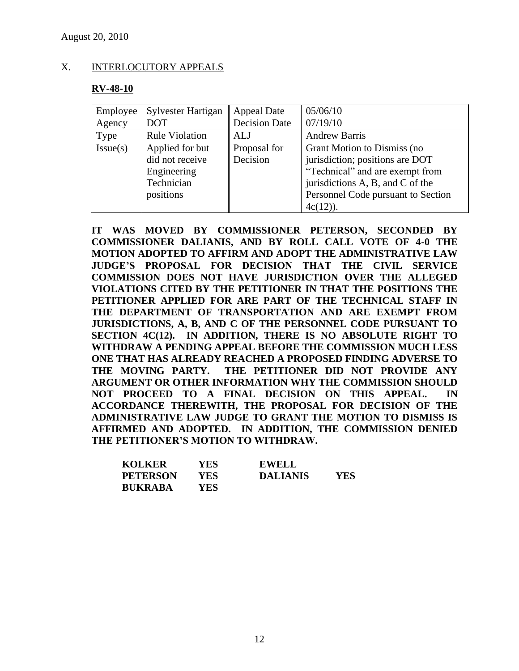#### X. INTERLOCUTORY APPEALS

#### **RV-48-10**

| Employee | Sylvester Hartigan                                                           | <b>Appeal Date</b>       | 05/06/10                                                                                                                                                                                   |
|----------|------------------------------------------------------------------------------|--------------------------|--------------------------------------------------------------------------------------------------------------------------------------------------------------------------------------------|
| Agency   | <b>DOT</b>                                                                   | <b>Decision Date</b>     | 07/19/10                                                                                                                                                                                   |
| Type     | <b>Rule Violation</b>                                                        | ALJ                      | <b>Andrew Barris</b>                                                                                                                                                                       |
| Issue(s) | Applied for but<br>did not receive<br>Engineering<br>Technician<br>positions | Proposal for<br>Decision | Grant Motion to Dismiss (no<br>jurisdiction; positions are DOT<br>"Technical" and are exempt from<br>jurisdictions A, B, and C of the<br>Personnel Code pursuant to Section<br>$4c(12)$ ). |

**IT WAS MOVED BY COMMISSIONER PETERSON, SECONDED BY COMMISSIONER DALIANIS, AND BY ROLL CALL VOTE OF 4-0 THE MOTION ADOPTED TO AFFIRM AND ADOPT THE ADMINISTRATIVE LAW JUDGE'S PROPOSAL FOR DECISION THAT THE CIVIL SERVICE COMMISSION DOES NOT HAVE JURISDICTION OVER THE ALLEGED VIOLATIONS CITED BY THE PETITIONER IN THAT THE POSITIONS THE PETITIONER APPLIED FOR ARE PART OF THE TECHNICAL STAFF IN THE DEPARTMENT OF TRANSPORTATION AND ARE EXEMPT FROM JURISDICTIONS, A, B, AND C OF THE PERSONNEL CODE PURSUANT TO SECTION 4C(12). IN ADDITION, THERE IS NO ABSOLUTE RIGHT TO WITHDRAW A PENDING APPEAL BEFORE THE COMMISSION MUCH LESS ONE THAT HAS ALREADY REACHED A PROPOSED FINDING ADVERSE TO THE MOVING PARTY. THE PETITIONER DID NOT PROVIDE ANY ARGUMENT OR OTHER INFORMATION WHY THE COMMISSION SHOULD NOT PROCEED TO A FINAL DECISION ON THIS APPEAL. IN ACCORDANCE THEREWITH, THE PROPOSAL FOR DECISION OF THE ADMINISTRATIVE LAW JUDGE TO GRANT THE MOTION TO DISMISS IS AFFIRMED AND ADOPTED. IN ADDITION, THE COMMISSION DENIED THE PETITIONER'S MOTION TO WITHDRAW.**

| <b>KOLKER</b>   | YES  | <b>EWELL</b>    |     |
|-----------------|------|-----------------|-----|
| <b>PETERSON</b> | YES. | <b>DALIANIS</b> | YES |
| <b>BUKRABA</b>  | YES  |                 |     |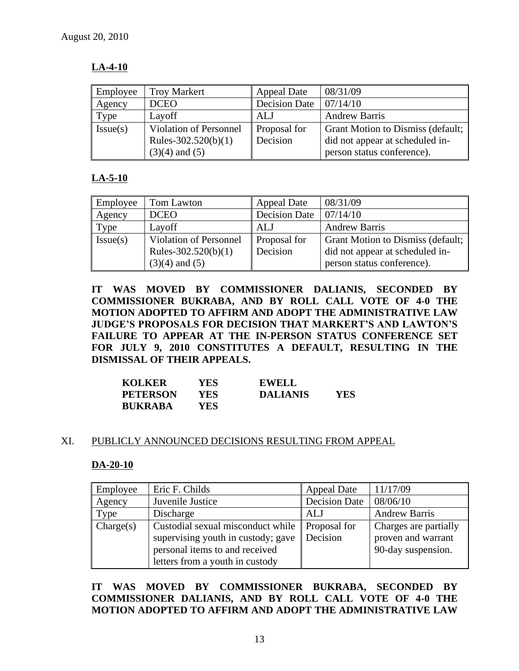# **LA-4-10**

| Employee | <b>Troy Markert</b>           | <b>Appeal Date</b>   | 08/31/09                          |
|----------|-------------------------------|----------------------|-----------------------------------|
| Agency   | <b>DCEO</b>                   | <b>Decision Date</b> | 07/14/10                          |
| Type     | Layoff                        | ALJ                  | <b>Andrew Barris</b>              |
| Issue(s) | <b>Violation of Personnel</b> | Proposal for         | Grant Motion to Dismiss (default; |
|          | Rules-302.520(b)(1)           | Decision             | did not appear at scheduled in-   |
|          | $(3)(4)$ and $(5)$            |                      | person status conference).        |

# **LA-5-10**

| Employee | Tom Lawton                    | <b>Appeal Date</b>                     | 08/31/09                          |
|----------|-------------------------------|----------------------------------------|-----------------------------------|
| Agency   | <b>DCEO</b>                   | Decision Date $\vert 07/14/10 \rangle$ |                                   |
| Type     | Layoff                        | ALJ                                    | <b>Andrew Barris</b>              |
| Issue(s) | <b>Violation of Personnel</b> | Proposal for                           | Grant Motion to Dismiss (default; |
|          | Rules-302.520(b)(1)           | Decision                               | did not appear at scheduled in-   |
|          | $(3)(4)$ and $(5)$            |                                        | person status conference).        |

**IT WAS MOVED BY COMMISSIONER DALIANIS, SECONDED BY COMMISSIONER BUKRABA, AND BY ROLL CALL VOTE OF 4-0 THE MOTION ADOPTED TO AFFIRM AND ADOPT THE ADMINISTRATIVE LAW JUDGE'S PROPOSALS FOR DECISION THAT MARKERT'S AND LAWTON'S FAILURE TO APPEAR AT THE IN-PERSON STATUS CONFERENCE SET FOR JULY 9, 2010 CONSTITUTES A DEFAULT, RESULTING IN THE DISMISSAL OF THEIR APPEALS.** 

| <b>KOLKER</b>   | YES  | <b>EWELL</b>    |     |
|-----------------|------|-----------------|-----|
| <b>PETERSON</b> | YES  | <b>DALIANIS</b> | YES |
| <b>BUKRABA</b>  | YES. |                 |     |

# XI. PUBLICLY ANNOUNCED DECISIONS RESULTING FROM APPEAL

#### **DA-20-10**

| Employee  | Eric F. Childs                                                                                                                                                                 | <b>Appeal Date</b>   | 11/17/09                                                          |
|-----------|--------------------------------------------------------------------------------------------------------------------------------------------------------------------------------|----------------------|-------------------------------------------------------------------|
| Agency    | Juvenile Justice                                                                                                                                                               | <b>Decision Date</b> | 08/06/10                                                          |
| Type      | Discharge                                                                                                                                                                      | <b>ALJ</b>           | <b>Andrew Barris</b>                                              |
| Change(s) | Custodial sexual misconduct while Proposal for<br>supervising youth in custody; gave $\parallel$ Decision<br>personal items to and received<br>letters from a youth in custody |                      | Charges are partially<br>proven and warrant<br>90-day suspension. |

**IT WAS MOVED BY COMMISSIONER BUKRABA, SECONDED BY COMMISSIONER DALIANIS, AND BY ROLL CALL VOTE OF 4-0 THE MOTION ADOPTED TO AFFIRM AND ADOPT THE ADMINISTRATIVE LAW**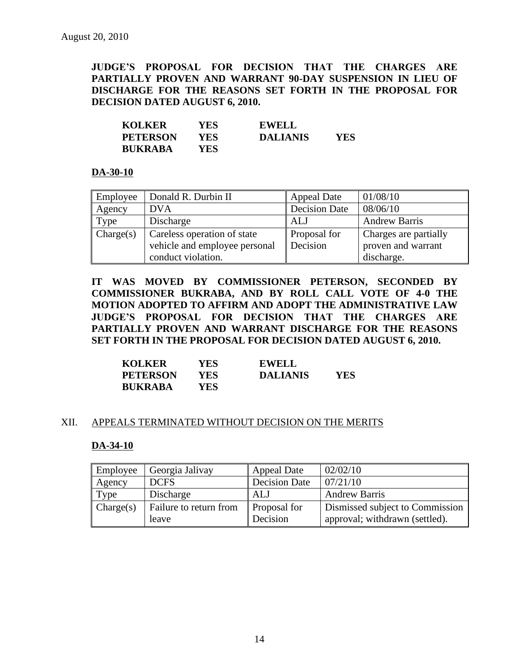**JUDGE'S PROPOSAL FOR DECISION THAT THE CHARGES ARE PARTIALLY PROVEN AND WARRANT 90-DAY SUSPENSION IN LIEU OF DISCHARGE FOR THE REASONS SET FORTH IN THE PROPOSAL FOR DECISION DATED AUGUST 6, 2010.**

| <b>KOLKER</b>   | YES | EWELL           |     |
|-----------------|-----|-----------------|-----|
| <b>PETERSON</b> | YES | <b>DALIANIS</b> | YES |
| <b>BUKRABA</b>  | YES |                 |     |

#### **DA-30-10**

| Employee  | Donald R. Durbin II           | <b>Appeal Date</b>   | 01/08/10              |
|-----------|-------------------------------|----------------------|-----------------------|
| Agency    | <b>DVA</b>                    | <b>Decision Date</b> | 08/06/10              |
| Type      | Discharge                     | <b>ALJ</b>           | <b>Andrew Barris</b>  |
| Change(s) | Careless operation of state   | Proposal for         | Charges are partially |
|           | vehicle and employee personal | Decision             | proven and warrant    |
|           | conduct violation.            |                      | discharge.            |

**IT WAS MOVED BY COMMISSIONER PETERSON, SECONDED BY COMMISSIONER BUKRABA, AND BY ROLL CALL VOTE OF 4-0 THE MOTION ADOPTED TO AFFIRM AND ADOPT THE ADMINISTRATIVE LAW JUDGE'S PROPOSAL FOR DECISION THAT THE CHARGES ARE PARTIALLY PROVEN AND WARRANT DISCHARGE FOR THE REASONS SET FORTH IN THE PROPOSAL FOR DECISION DATED AUGUST 6, 2010.**

| <b>KOLKER</b>   | YES   | <b>EWELL</b>    |     |
|-----------------|-------|-----------------|-----|
| <b>PETERSON</b> | YES.  | <b>DALIANIS</b> | YES |
| <b>BUKRABA</b>  | YES ! |                 |     |

#### XII. APPEALS TERMINATED WITHOUT DECISION ON THE MERITS

#### **DA-34-10**

| Employee  | Georgia Jalivay        | <b>Appeal Date</b>  | 02/02/10                        |
|-----------|------------------------|---------------------|---------------------------------|
| Agency    | <b>DCFS</b>            | Decision Date       | 07/21/10                        |
| Type      | Discharge              | ALJ                 | <b>Andrew Barris</b>            |
| Change(s) | Failure to return from | <b>Proposal for</b> | Dismissed subject to Commission |
|           | leave                  | Decision            | approval; withdrawn (settled).  |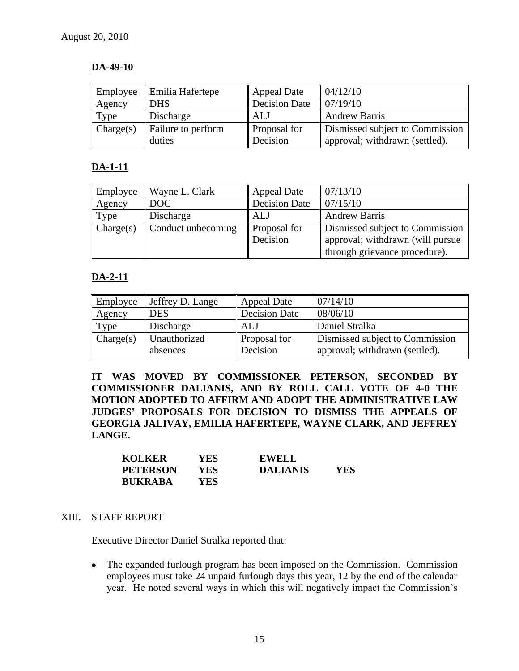# **DA-49-10**

| Employee  | Emilia Hafertepe             | <b>Appeal Date</b>              | 04/12/10                                                          |
|-----------|------------------------------|---------------------------------|-------------------------------------------------------------------|
| Agency    | <b>DHS</b>                   | <b>Decision Date</b>            | 07/19/10                                                          |
| Type      | Discharge                    | ALJ                             | <b>Andrew Barris</b>                                              |
| Change(s) | Failure to perform<br>duties | <b>Proposal for</b><br>Decision | Dismissed subject to Commission<br>approval; withdrawn (settled). |

# **DA-1-11**

| Employee  | Wayne L. Clark     | <b>Appeal Date</b>   | 07/13/10                         |  |
|-----------|--------------------|----------------------|----------------------------------|--|
| Agency    | DOC                | <b>Decision Date</b> | 07/15/10                         |  |
| Type      | Discharge          | ALJ                  | <b>Andrew Barris</b>             |  |
| Change(s) | Conduct unbecoming | Proposal for         | Dismissed subject to Commission  |  |
|           |                    | Decision             | approval; withdrawn (will pursue |  |
|           |                    |                      | through grievance procedure).    |  |

# **DA-2-11**

| Employee  | Jeffrey D. Lange         | <b>Appeal Date</b>       | 07/14/10                                                          |
|-----------|--------------------------|--------------------------|-------------------------------------------------------------------|
| Agency    | <b>DES</b>               | <b>Decision Date</b>     | 08/06/10                                                          |
| Type      | Discharge                | <b>ALJ</b>               | Daniel Stralka                                                    |
| Change(s) | Unauthorized<br>absences | Proposal for<br>Decision | Dismissed subject to Commission<br>approval; withdrawn (settled). |

**IT WAS MOVED BY COMMISSIONER PETERSON, SECONDED BY COMMISSIONER DALIANIS, AND BY ROLL CALL VOTE OF 4-0 THE MOTION ADOPTED TO AFFIRM AND ADOPT THE ADMINISTRATIVE LAW JUDGES' PROPOSALS FOR DECISION TO DISMISS THE APPEALS OF GEORGIA JALIVAY, EMILIA HAFERTEPE, WAYNE CLARK, AND JEFFREY LANGE.** 

| <b>KOLKER</b>   | YES ! | <b>EWELL</b>    |     |
|-----------------|-------|-----------------|-----|
| <b>PETERSON</b> | YES-  | <b>DALIANIS</b> | YES |
| <b>BUKRABA</b>  | YES.  |                 |     |

#### XIII. STAFF REPORT

Executive Director Daniel Stralka reported that:

The expanded furlough program has been imposed on the Commission. Commission  $\bullet$ employees must take 24 unpaid furlough days this year, 12 by the end of the calendar year. He noted several ways in which this will negatively impact the Commission's